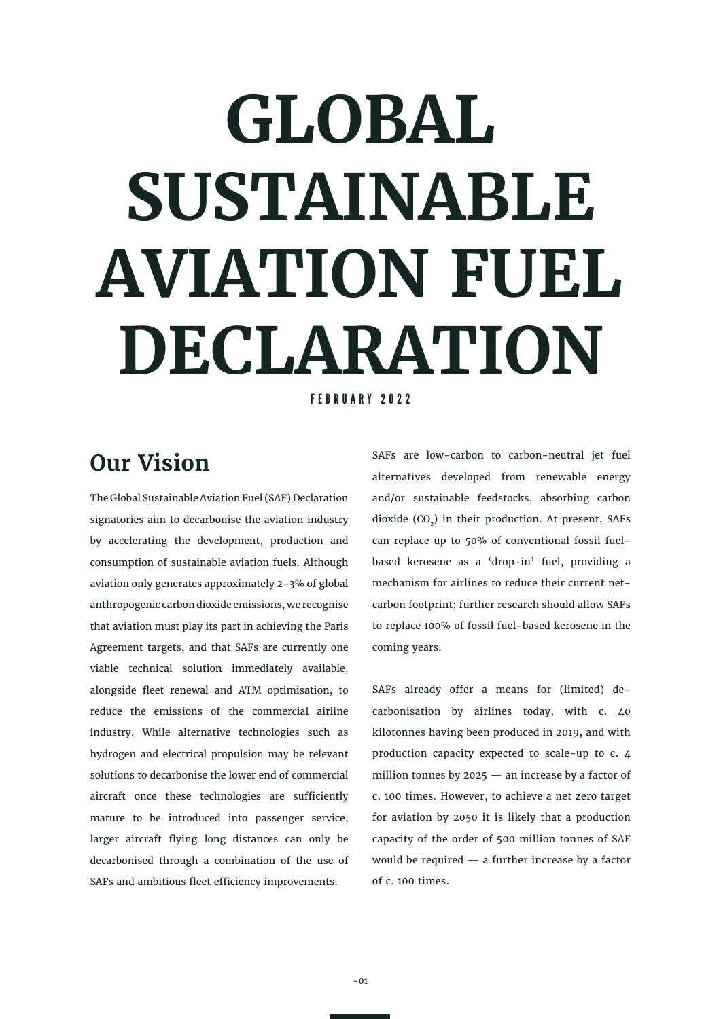# **GLOBAL SUSTAINABLE AVIATION FUEL DECLARATION**

FEBRUARY 2022

## **Our Vision**

The Global Sustainable Aviation Fuel (SAF) Declaration signatories aim to decarbonise the aviation industry by accelerating the development, production and consumption of sustainable aviation fuels. Although aviation only generates approximately 2-3% of global anthropogenic carbon dioxide emissions, we recognise that aviation must play its part in achieving the Paris Agreement targets, and that SAFs are currently one viable technical solution immediately available, alongside fleet renewal and ATM optimisation, to reduce the emissions of the commercial airline industry. While alternative technologies such as hydrogen and electrical propulsion may be relevant solutions to decarbonise the lower end of commercial aircraft once these technologies are sufficiently mature to be introduced into passenger service, larger aircraft flying long distances can only be decarbonised through a combination of the use of SAFs and ambitious fleet efficiency improvements.

SAFs are low-carbon to carbon-neutral jet fuel alternatives developed from renewable energy and/or sustainable feedstocks, absorbing carbon dioxide  $(CO<sub>2</sub>)$  in their production. At present, SAFs can replace up to 50% of conventional fossil fuelbased kerosene as a 'drop-in' fuel, providing a mechanism for airlines to reduce their current netcarbon footprint; further research should allow SAFs to replace 100% of fossil fuel-based kerosene in the coming years.

SAFs already offer a means for (limited) decarbonisation by airlines today, with c. 40 kilotonnes having been produced in 2019, and with production capacity expected to scale-up to c. 4 million tonnes by  $2025 -$  an increase by a factor of c. 100 times. However, to achieve a net zero target for aviation by 2050 it is likely that a production capacity of the order of 500 million tonnes of SAF would be required — a further increase by a factor of c. 100 times.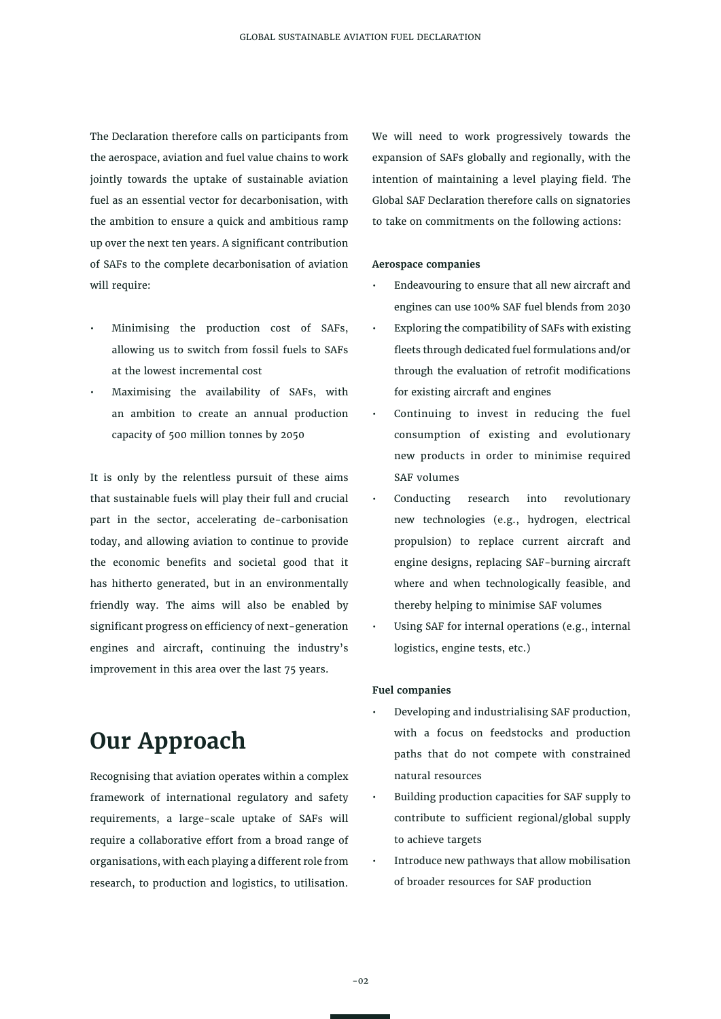The Declaration therefore calls on participants from the aerospace, aviation and fuel value chains to work jointly towards the uptake of sustainable aviation fuel as an essential vector for decarbonisation, with the ambition to ensure a quick and ambitious ramp up over the next ten years. A significant contribution of SAFs to the complete decarbonisation of aviation will require:

- Minimising the production cost of SAFs, allowing us to switch from fossil fuels to SAFs at the lowest incremental cost
- Maximising the availability of SAFs, with an ambition to create an annual production capacity of 500 million tonnes by 2050

It is only by the relentless pursuit of these aims that sustainable fuels will play their full and crucial part in the sector, accelerating de-carbonisation today, and allowing aviation to continue to provide the economic benefits and societal good that it has hitherto generated, but in an environmentally friendly way. The aims will also be enabled by significant progress on efficiency of next-generation engines and aircraft, continuing the industry's improvement in this area over the last 75 years.

### **Our Approach**

Recognising that aviation operates within a complex framework of international regulatory and safety requirements, a large-scale uptake of SAFs will require a collaborative effort from a broad range of organisations, with each playing a different role from research, to production and logistics, to utilisation.

We will need to work progressively towards the expansion of SAFs globally and regionally, with the intention of maintaining a level playing field. The Global SAF Declaration therefore calls on signatories to take on commitments on the following actions:

#### **Aerospace companies**

- Endeavouring to ensure that all new aircraft and engines can use 100% SAF fuel blends from 2030
- Exploring the compatibility of SAFs with existing fleets through dedicated fuel formulations and/or through the evaluation of retrofit modifications for existing aircraft and engines
- Continuing to invest in reducing the fuel consumption of existing and evolutionary new products in order to minimise required SAF volumes
- Conducting research into revolutionary new technologies (e.g., hydrogen, electrical propulsion) to replace current aircraft and engine designs, replacing SAF-burning aircraft where and when technologically feasible, and thereby helping to minimise SAF volumes
- Using SAF for internal operations (e.g., internal logistics, engine tests, etc.)

#### **Fuel companies**

- Developing and industrialising SAF production, with a focus on feedstocks and production paths that do not compete with constrained natural resources
- Building production capacities for SAF supply to contribute to sufficient regional/global supply to achieve targets
- Introduce new pathways that allow mobilisation of broader resources for SAF production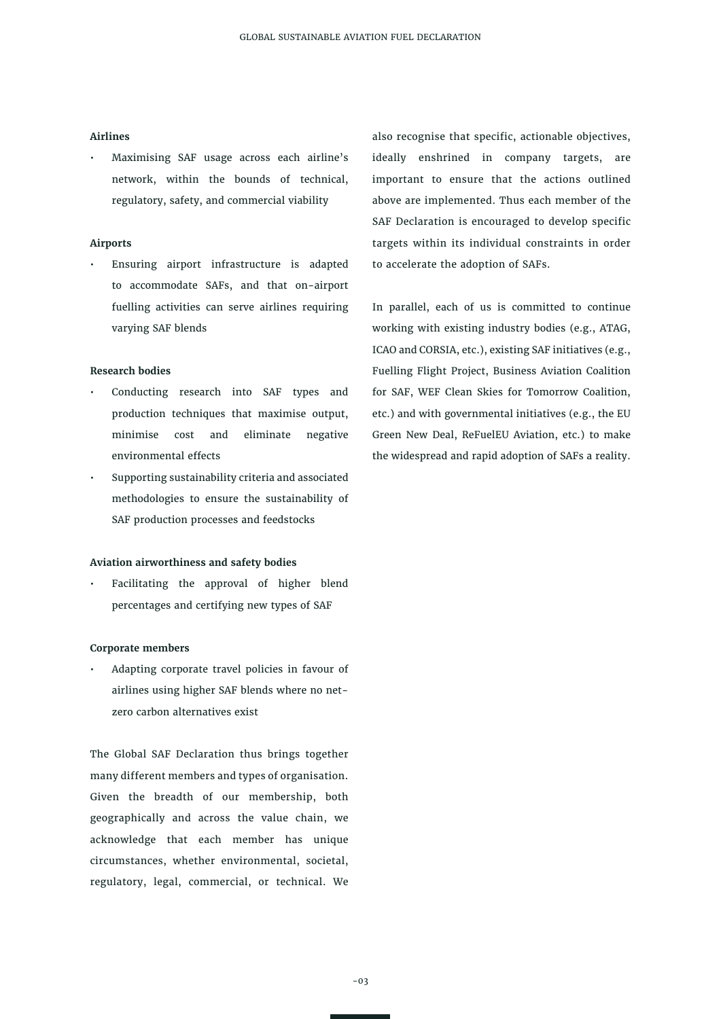#### **Airlines**

• Maximising SAF usage across each airline's network, within the bounds of technical, regulatory, safety, and commercial viability

#### **Airports**

• Ensuring airport infrastructure is adapted to accommodate SAFs, and that on-airport fuelling activities can serve airlines requiring varying SAF blends

#### **Research bodies**

- Conducting research into SAF types and production techniques that maximise output, minimise cost and eliminate negative environmental effects
- Supporting sustainability criteria and associated methodologies to ensure the sustainability of SAF production processes and feedstocks

#### **Aviation airworthiness and safety bodies**

• Facilitating the approval of higher blend percentages and certifying new types of SAF

#### **Corporate members**

• Adapting corporate travel policies in favour of airlines using higher SAF blends where no netzero carbon alternatives exist

The Global SAF Declaration thus brings together many different members and types of organisation. Given the breadth of our membership, both geographically and across the value chain, we acknowledge that each member has unique circumstances, whether environmental, societal, regulatory, legal, commercial, or technical. We

also recognise that specific, actionable objectives, ideally enshrined in company targets, are important to ensure that the actions outlined above are implemented. Thus each member of the SAF Declaration is encouraged to develop specific targets within its individual constraints in order to accelerate the adoption of SAFs.

In parallel, each of us is committed to continue working with existing industry bodies (e.g., ATAG, ICAO and CORSIA, etc.), existing SAF initiatives (e.g., Fuelling Flight Project, Business Aviation Coalition for SAF, WEF Clean Skies for Tomorrow Coalition, etc.) and with governmental initiatives (e.g., the EU Green New Deal, ReFuelEU Aviation, etc.) to make the widespread and rapid adoption of SAFs a reality.